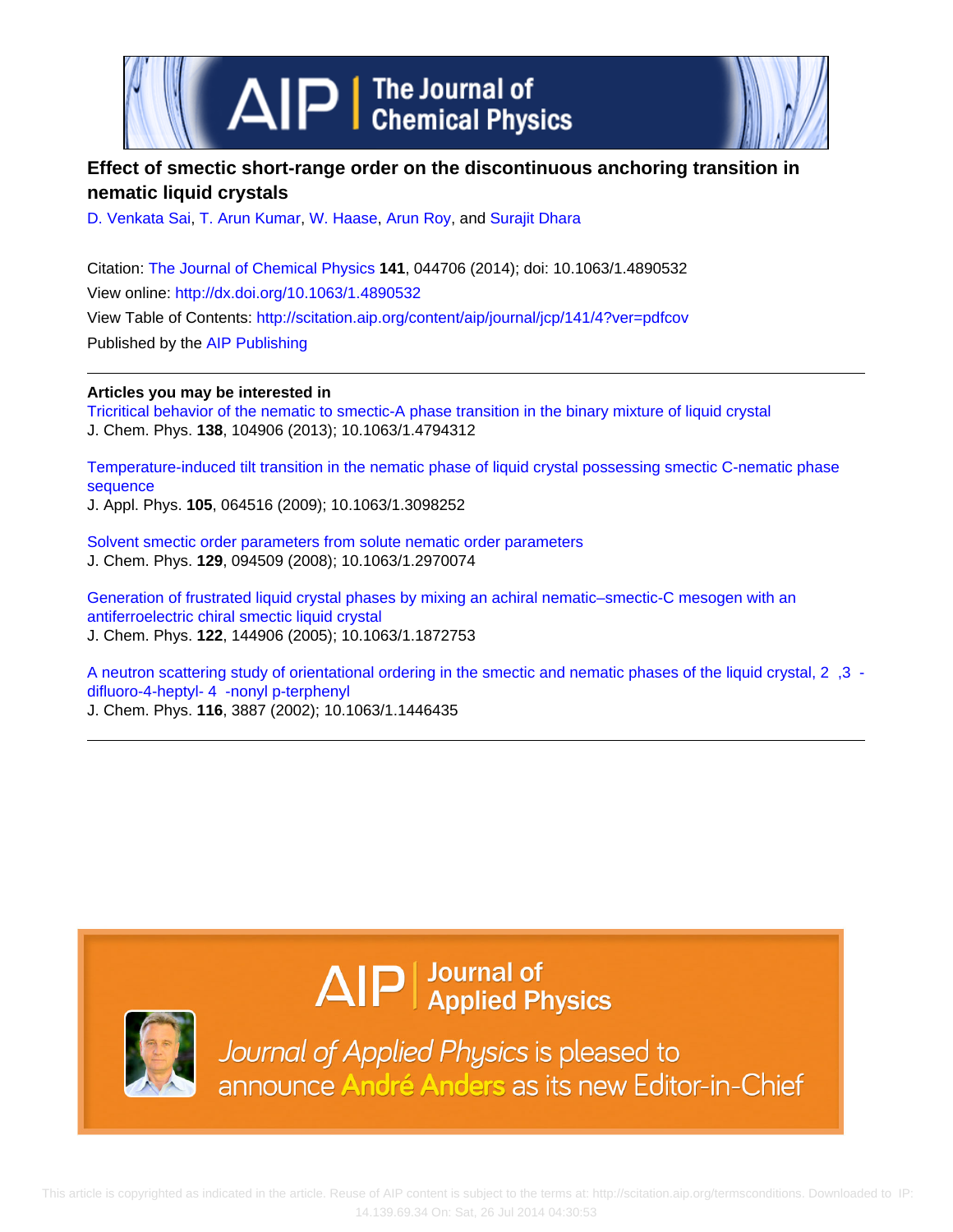

# **Effect of smectic short-range order on the discontinuous anchoring transition in nematic liquid crystals**

[D. Venkata Sai,](http://scitation.aip.org/search?value1=D.+Venkata+Sai&option1=author) [T. Arun Kumar](http://scitation.aip.org/search?value1=T.+Arun+Kumar&option1=author), [W. Haase,](http://scitation.aip.org/search?value1=W.+Haase&option1=author) [Arun Roy,](http://scitation.aip.org/search?value1=Arun+Roy&option1=author) and [Surajit Dhara](http://scitation.aip.org/search?value1=Surajit+Dhara&option1=author)

Citation: [The Journal of Chemical Physics](http://scitation.aip.org/content/aip/journal/jcp?ver=pdfcov) **141**, 044706 (2014); doi: 10.1063/1.4890532 View online: <http://dx.doi.org/10.1063/1.4890532> View Table of Contents: <http://scitation.aip.org/content/aip/journal/jcp/141/4?ver=pdfcov> Published by the [AIP Publishing](http://scitation.aip.org/content/aip?ver=pdfcov)

**Articles you may be interested in**

[Tricritical behavior of the nematic to smectic-A phase transition in the binary mixture of liquid crystal](http://scitation.aip.org/content/aip/journal/jcp/138/10/10.1063/1.4794312?ver=pdfcov) J. Chem. Phys. **138**, 104906 (2013); 10.1063/1.4794312

[Temperature-induced tilt transition in the nematic phase of liquid crystal possessing smectic C-nematic phase](http://scitation.aip.org/content/aip/journal/jap/105/6/10.1063/1.3098252?ver=pdfcov) [sequence](http://scitation.aip.org/content/aip/journal/jap/105/6/10.1063/1.3098252?ver=pdfcov)

J. Appl. Phys. **105**, 064516 (2009); 10.1063/1.3098252

[Solvent smectic order parameters from solute nematic order parameters](http://scitation.aip.org/content/aip/journal/jcp/129/9/10.1063/1.2970074?ver=pdfcov) J. Chem. Phys. **129**, 094509 (2008); 10.1063/1.2970074

[Generation of frustrated liquid crystal phases by mixing an achiral nematic–smectic-C mesogen with an](http://scitation.aip.org/content/aip/journal/jcp/122/14/10.1063/1.1872753?ver=pdfcov) [antiferroelectric chiral smectic liquid crystal](http://scitation.aip.org/content/aip/journal/jcp/122/14/10.1063/1.1872753?ver=pdfcov) J. Chem. Phys. **122**, 144906 (2005); 10.1063/1.1872753

[A neutron scattering study of orientational ordering in the smectic and nematic phases of the liquid crystal, 2 ,3](http://scitation.aip.org/content/aip/journal/jcp/116/9/10.1063/1.1446435?ver=pdfcov)  [difluoro-4-heptyl- 4 -nonyl p-terphenyl](http://scitation.aip.org/content/aip/journal/jcp/116/9/10.1063/1.1446435?ver=pdfcov)

J. Chem. Phys. **116**, 3887 (2002); 10.1063/1.1446435

# $\Delta$   $\vert P \vert$  Journal of Applied Physics



Journal of Applied Physics is pleased to announce André Anders as its new Editor-in-Chief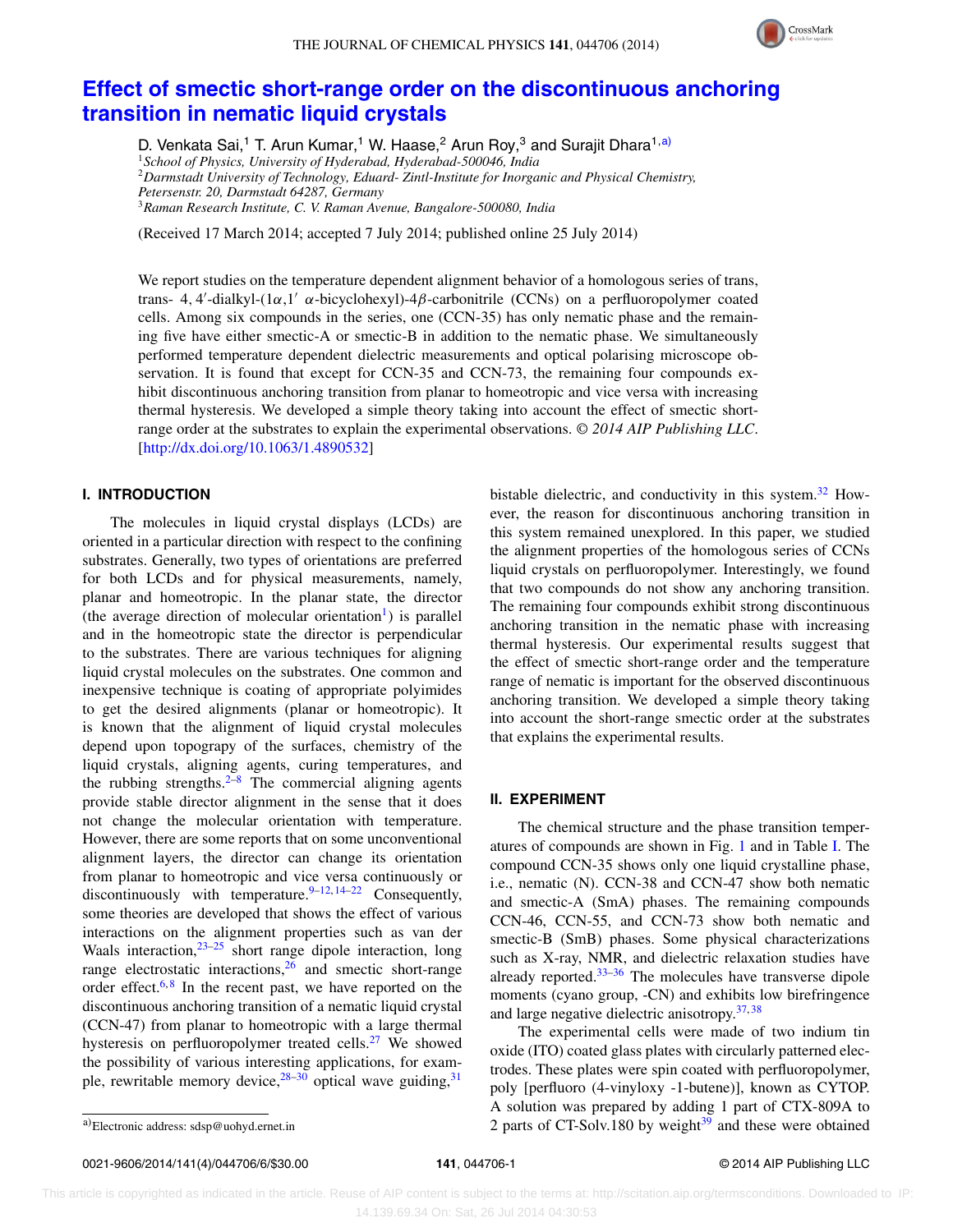

# **[Effect of smectic short-range order on the discontinuous anchoring](http://dx.doi.org/10.1063/1.4890532) [transition in nematic liquid crystals](http://dx.doi.org/10.1063/1.4890532)**

D. Venkata Sai,<sup>1</sup> T. Arun Kumar,<sup>1</sup> W. Haase,<sup>2</sup> Arun Roy,<sup>3</sup> and Surajit Dhara<sup>1[,a\)](#page-1-0)</sup> <sup>1</sup>*School of Physics, University of Hyderabad, Hyderabad-500046, India* <sup>2</sup>*Darmstadt University of Technology, Eduard- Zintl-Institute for Inorganic and Physical Chemistry, Petersenstr. 20, Darmstadt 64287, Germany* <sup>3</sup>*Raman Research Institute, C. V. Raman Avenue, Bangalore-500080, India*

(Received 17 March 2014; accepted 7 July 2014; published online 25 July 2014)

We report studies on the temperature dependent alignment behavior of a homologous series of trans, trans- 4, 4'-dialkyl-(1α,1' α-bicyclohexyl)-4β-carbonitrile (CCNs) on a perfluoropolymer coated cells. Among six compounds in the series, one (CCN-35) has only nematic phase and the remaining five have either smectic-A or smectic-B in addition to the nematic phase. We simultaneously performed temperature dependent dielectric measurements and optical polarising microscope observation. It is found that except for CCN-35 and CCN-73, the remaining four compounds exhibit discontinuous anchoring transition from planar to homeotropic and vice versa with increasing thermal hysteresis. We developed a simple theory taking into account the effect of smectic shortrange order at the substrates to explain the experimental observations. *© 2014 AIP Publishing LLC*. [\[http://dx.doi.org/10.1063/1.4890532\]](http://dx.doi.org/10.1063/1.4890532)

## **I. INTRODUCTION**

The molecules in liquid crystal displays (LCDs) are oriented in a particular direction with respect to the confining substrates. Generally, two types of orientations are preferred for both LCDs and for physical measurements, namely, planar and homeotropic. In the planar state, the director (the average direction of molecular orientation<sup>1</sup>) is parallel and in the homeotropic state the director is perpendicular to the substrates. There are various techniques for aligning liquid crystal molecules on the substrates. One common and inexpensive technique is coating of appropriate polyimides to get the desired alignments (planar or homeotropic). It is known that the alignment of liquid crystal molecules depend upon topograpy of the surfaces, chemistry of the liquid crystals, aligning agents, curing temperatures, and the rubbing strengths. <sup>2[–8](#page-5-2)</sup> The commercial aligning agents provide stable director alignment in the sense that it does not change the molecular orientation with temperature. However, there are some reports that on some unconventional alignment layers, the director can change its orientation from planar to homeotropic and vice versa continuously or discontinuously with temperature.  $9-12, 14-22$  $9-12, 14-22$  $9-12, 14-22$  $9-12, 14-22$  Consequently, some theories are developed that shows the effect of various interactions on the alignment properties such as van der Waals interaction,  $23-25$  $23-25$  short range dipole interaction, long range electrostatic interactions,  $26$  and smectic short-range order effect.<sup>[6,](#page-5-10)[8](#page-5-2)</sup> In the recent past, we have reported on the discontinuous anchoring transition of a nematic liquid crystal (CCN-47) from planar to homeotropic with a large thermal hysteresis on perfluoropolymer treated cells.<sup>27</sup> We showed the possibility of various interesting applications, for example, rewritable memory device,  $28-30$  $28-30$  optical wave guiding,  $31$  bistable dielectric, and conductivity in this system.<sup>[32](#page-5-15)</sup> However, the reason for discontinuous anchoring transition in this system remained unexplored. In this paper, we studied the alignment properties of the homologous series of CCNs liquid crystals on perfluoropolymer. Interestingly, we found that two compounds do not show any anchoring transition. The remaining four compounds exhibit strong discontinuous anchoring transition in the nematic phase with increasing thermal hysteresis. Our experimental results suggest that the effect of smectic short-range order and the temperature range of nematic is important for the observed discontinuous anchoring transition. We developed a simple theory taking into account the short-range smectic order at the substrates that explains the experimental results.

#### **II. EXPERIMENT**

The chemical structure and the phase transition temperatures of compounds are shown in Fig. [1](#page-2-0) and in Table [I.](#page-2-1) The compound CCN-35 shows only one liquid crystalline phase, i.e., nematic (N). CCN-38 and CCN-47 show both nematic and smectic-A (SmA) phases. The remaining compounds CCN-46, CCN-55, and CCN-73 show both nematic and smectic-B (SmB) phases. Some physical characterizations such as X-ray, NMR, and dielectric relaxation studies have already reported. $33-36$  $33-36$  The molecules have transverse dipole moments (cyano group, -CN) and exhibits low birefringence and large negative dielectric anisotropy.[37,](#page-6-1) [38](#page-6-2)

The experimental cells were made of two indium tin oxide (ITO) coated glass plates with circularly patterned electrodes. These plates were spin coated with perfluoropolymer, poly [perfluoro (4-vinyloxy -1-butene)], known as CYTOP. A solution was prepared by adding 1 part of CTX-809A to 2 parts of CT-Solv.180 by weight $39$  and these were obtained

<span id="page-1-0"></span>a)Electronic address: [sdsp@uohyd.ernet.in](mailto: sdsp@uohyd.ernet.in)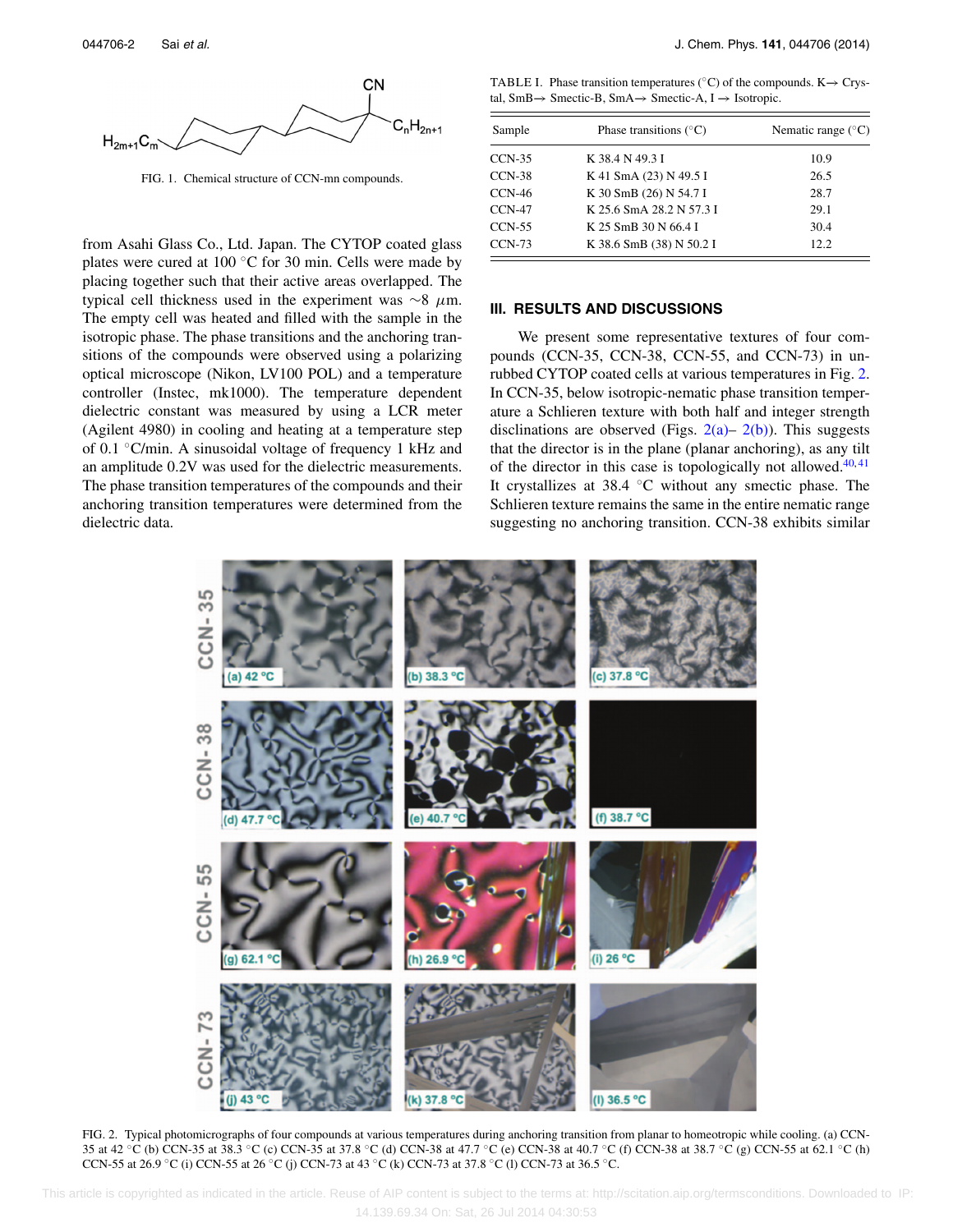<span id="page-2-0"></span>

FIG. 1. Chemical structure of CCN-mn compounds.

from Asahi Glass Co., Ltd. Japan. The CYTOP coated glass plates were cured at 100  $\degree$ C for 30 min. Cells were made by placing together such that their active areas overlapped. The typical cell thickness used in the experiment was ∼8 *μ*m. The empty cell was heated and filled with the sample in the isotropic phase. The phase transitions and the anchoring transitions of the compounds were observed using a polarizing optical microscope (Nikon, LV100 POL) and a temperature controller (Instec, mk1000). The temperature dependent dielectric constant was measured by using a LCR meter (Agilent 4980) in cooling and heating at a temperature step of 0.1 ◦C/min. A sinusoidal voltage of frequency 1 kHz and an amplitude 0.2V was used for the dielectric measurements. The phase transition temperatures of the compounds and their anchoring transition temperatures were determined from the dielectric data.

<span id="page-2-1"></span>TABLE I. Phase transition temperatures ( $\degree$ C) of the compounds. K→ Crystal, SmB−→ Smectic-B, SmA−→ Smectic-A, I −→ Isotropic.

| Sample   | Phase transitions $(^{\circ}C)$ | Nematic range $(^{\circ}C)$ |  |
|----------|---------------------------------|-----------------------------|--|
| $CCN-35$ | K 38.4 N 49.3 I                 | 10.9                        |  |
| $CCN-38$ | K 41 SmA (23) N 49.5 I          | 26.5                        |  |
| $CCN-46$ | K 30 SmB (26) N 54.7 I          | 28.7                        |  |
| $CCN-47$ | K 25.6 SmA 28.2 N 57.3 I        | 29.1                        |  |
| $CCN-55$ | K 25 SmB 30 N 66.4 I            | 30.4                        |  |
| $CCN-73$ | K 38.6 SmB (38) N 50.2 I        | 12.2                        |  |

### **III. RESULTS AND DISCUSSIONS**

We present some representative textures of four compounds (CCN-35, CCN-38, CCN-55, and CCN-73) in unrubbed CYTOP coated cells at various temperatures in Fig. [2.](#page-2-2) In CCN-35, below isotropic-nematic phase transition temperature a Schlieren texture with both half and integer strength disclinations are observed (Figs.  $2(a)$ –  $2(b)$ ). This suggests that the director is in the plane (planar anchoring), as any tilt of the director in this case is topologically not allowed. $40,41$  $40,41$ It crystallizes at 38.4 ◦C without any smectic phase. The Schlieren texture remains the same in the entire nematic range suggesting no anchoring transition. CCN-38 exhibits similar

<span id="page-2-2"></span>

FIG. 2. Typical photomicrographs of four compounds at various temperatures during anchoring transition from planar to homeotropic while cooling. (a) CCN-35 at 42 °C (b) CCN-35 at 38.3 °C (c) CCN-35 at 37.8 °C (d) CCN-38 at 47.7 °C (e) CCN-38 at 40.7 °C (f) CCN-38 at 38.7 °C (g) CCN-55 at 62.1 °C (h) CCN-55 at 26.9 ◦C (i) CCN-55 at 26 ◦C (j) CCN-73 at 43 ◦C (k) CCN-73 at 37.8 ◦C (l) CCN-73 at 36.5 ◦C.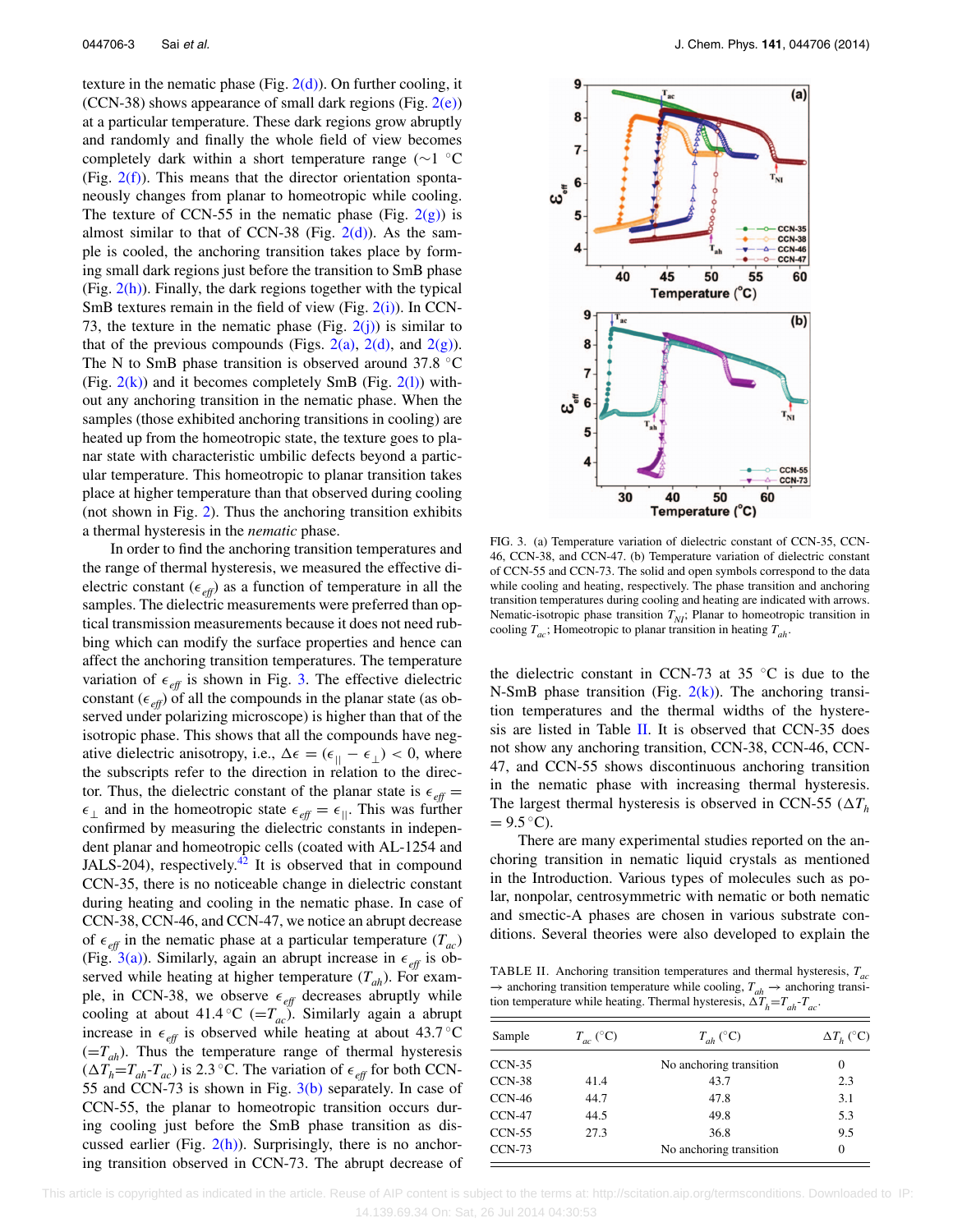texture in the nematic phase (Fig.  $2(d)$ ). On further cooling, it (CCN-38) shows appearance of small dark regions (Fig.  $2(e)$ ) at a particular temperature. These dark regions grow abruptly and randomly and finally the whole field of view becomes completely dark within a short temperature range (∼1 ◦C (Fig.  $2(f)$ ). This means that the director orientation spontaneously changes from planar to homeotropic while cooling. The texture of CCN-55 in the nematic phase (Fig.  $2(g)$ ) is almost similar to that of CCN-38 (Fig.  $2(d)$ ). As the sample is cooled, the anchoring transition takes place by forming small dark regions just before the transition to SmB phase (Fig.  $2(h)$ ). Finally, the dark regions together with the typical SmB textures remain in the field of view (Fig.  $2(i)$ ). In CCN-73, the texture in the nematic phase (Fig.  $2(i)$ ) is similar to that of the previous compounds (Figs. [2\(a\),](#page-2-2) [2\(d\),](#page-2-2) and [2\(g\)\)](#page-2-2). The N to SmB phase transition is observed around 37.8 ◦C (Fig.  $2(k)$ ) and it becomes completely SmB (Fig.  $2(l)$ ) without any anchoring transition in the nematic phase. When the samples (those exhibited anchoring transitions in cooling) are heated up from the homeotropic state, the texture goes to planar state with characteristic umbilic defects beyond a particular temperature. This homeotropic to planar transition takes place at higher temperature than that observed during cooling (not shown in Fig. [2\)](#page-2-2). Thus the anchoring transition exhibits a thermal hysteresis in the *nematic* phase.

In order to find the anchoring transition temperatures and the range of thermal hysteresis, we measured the effective dielectric constant ( $\epsilon_{\text{eff}}$ ) as a function of temperature in all the samples. The dielectric measurements were preferred than optical transmission measurements because it does not need rubbing which can modify the surface properties and hence can affect the anchoring transition temperatures. The temperature variation of  $\epsilon_{\text{eff}}$  is shown in Fig. [3.](#page-3-0) The effective dielectric constant ( $\epsilon_{\text{eff}}$ ) of all the compounds in the planar state (as observed under polarizing microscope) is higher than that of the isotropic phase. This shows that all the compounds have negative dielectric anisotropy, i.e.,  $\Delta \epsilon = (\epsilon_{\parallel} - \epsilon_{\perp}) < 0$ , where the subscripts refer to the direction in relation to the director. Thus, the dielectric constant of the planar state is  $\epsilon_{\text{eff}} =$  $\epsilon_{\perp}$  and in the homeotropic state  $\epsilon_{\text{eff}} = \epsilon_{\parallel}$ . This was further confirmed by measuring the dielectric constants in independent planar and homeotropic cells (coated with AL-1254 and JALS-204), respectively.<sup>[42](#page-6-6)</sup> It is observed that in compound CCN-35, there is no noticeable change in dielectric constant during heating and cooling in the nematic phase. In case of CCN-38, CCN-46, and CCN-47, we notice an abrupt decrease of  $\epsilon_{\text{eff}}$  in the nematic phase at a particular temperature  $(T_{ac})$ (Fig. [3\(a\)\)](#page-3-0). Similarly, again an abrupt increase in  $\epsilon_{\text{eff}}$  is observed while heating at higher temperature  $(T_{ah})$ . For example, in CCN-38, we observe  $\epsilon_{\text{eff}}$  decreases abruptly while cooling at about 41.4 °C ( $=T_{ac}$ ). Similarly again a abrupt increase in  $\epsilon_{\text{eff}}$  is observed while heating at about 43.7 °C  $(=T_{ah})$ . Thus the temperature range of thermal hysteresis  $(\Delta T_h = T_{ah} - T_{ac})$  is 2.3 °C. The variation of  $\epsilon_{eff}$  for both CCN-55 and CCN-73 is shown in Fig.  $3(b)$  separately. In case of CCN-55, the planar to homeotropic transition occurs during cooling just before the SmB phase transition as discussed earlier (Fig.  $2(h)$ ). Surprisingly, there is no anchoring transition observed in CCN-73. The abrupt decrease of

<span id="page-3-0"></span>

FIG. 3. (a) Temperature variation of dielectric constant of CCN-35, CCN-46, CCN-38, and CCN-47. (b) Temperature variation of dielectric constant of CCN-55 and CCN-73. The solid and open symbols correspond to the data while cooling and heating, respectively. The phase transition and anchoring transition temperatures during cooling and heating are indicated with arrows. Nematic-isotropic phase transition  $T_{NI}$ ; Planar to homeotropic transition in cooling  $T_{ac}$ ; Homeotropic to planar transition in heating  $T_{ab}$ .

the dielectric constant in CCN-73 at 35  $°C$  is due to the N-SmB phase transition (Fig.  $2(k)$ ). The anchoring transition temperatures and the thermal widths of the hysteresis are listed in Table [II.](#page-3-1) It is observed that CCN-35 does not show any anchoring transition, CCN-38, CCN-46, CCN-47, and CCN-55 shows discontinuous anchoring transition in the nematic phase with increasing thermal hysteresis. The largest thermal hysteresis is observed in CCN-55 ( $\Delta T_h$ )  $= 9.5 °C$ ).

There are many experimental studies reported on the anchoring transition in nematic liquid crystals as mentioned in the Introduction. Various types of molecules such as polar, nonpolar, centrosymmetric with nematic or both nematic and smectic-A phases are chosen in various substrate conditions. Several theories were also developed to explain the

<span id="page-3-1"></span>TABLE II. Anchoring transition temperatures and thermal hysteresis, *Tac* → anchoring transition temperature while cooling,  $T_{ah}$  → anchoring transition temperature while heating. Thermal hysteresis,  $\Delta T_h = T_{ah} - T_{ac}$ .

| Sample        | $T_{ac}$ (°C) | $T_{ah}$ (°C)           | $\Delta T_h$ (°C) |
|---------------|---------------|-------------------------|-------------------|
| $CCN-35$      |               | No anchoring transition | $\theta$          |
| $CCN-38$      | 41.4          | 43.7                    | 2.3               |
| CCN-46        | 44.7          | 47.8                    | 3.1               |
| $CCN-47$      | 44.5          | 49.8                    | 5.3               |
| $CCN-55$      | 27.3          | 36.8                    | 9.5               |
| <b>CCN-73</b> |               | No anchoring transition | $\theta$          |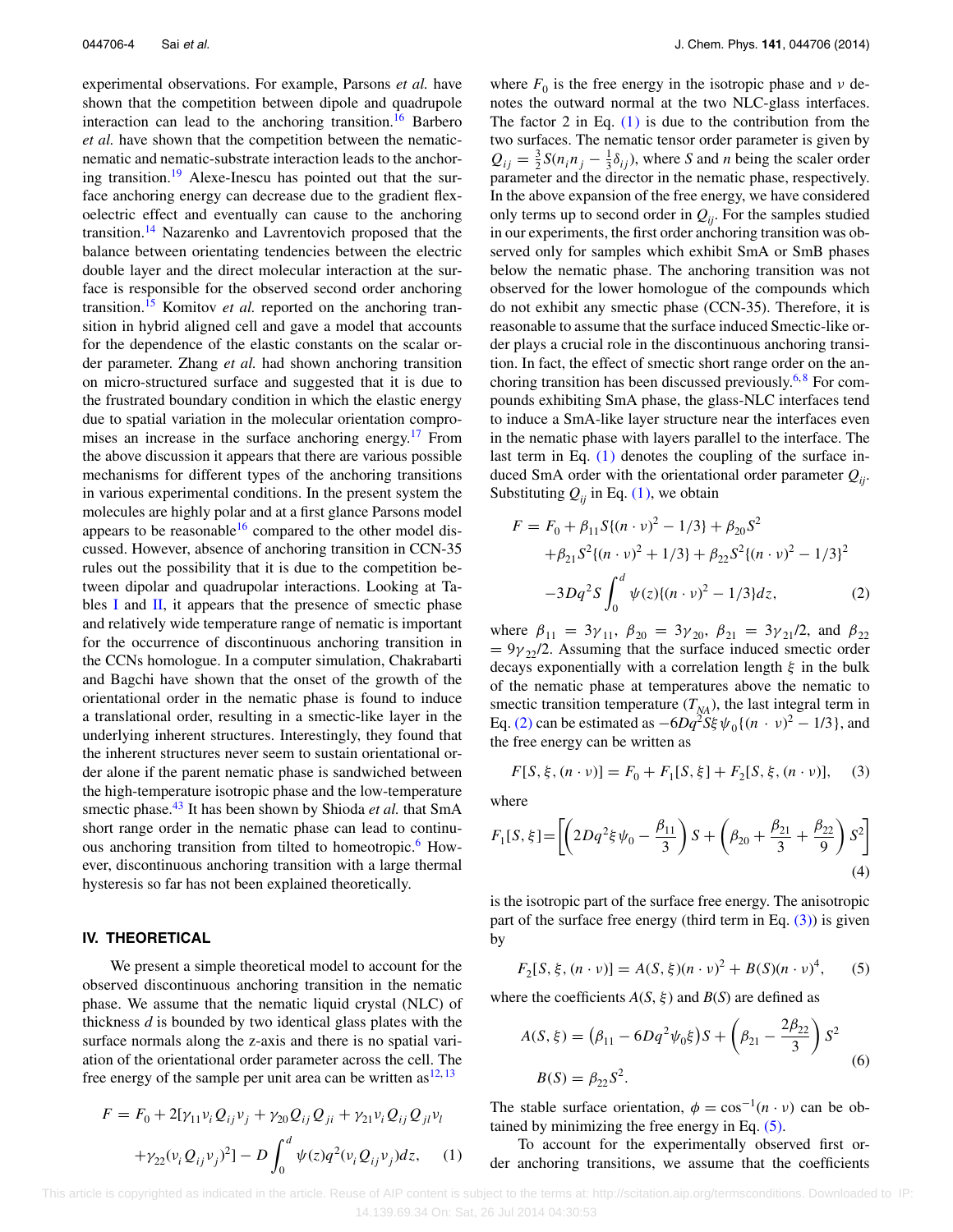experimental observations. For example, Parsons *et al.* have shown that the competition between dipole and quadrupole interaction can lead to the anchoring transition.<sup>16</sup> Barbero *et al.* have shown that the competition between the nematicnematic and nematic-substrate interaction leads to the anchor-ing transition.<sup>[19](#page-5-18)</sup> Alexe-Inescu has pointed out that the surface anchoring energy can decrease due to the gradient flexoelectric effect and eventually can cause to the anchoring transition.<sup>[14](#page-5-5)</sup> Nazarenko and Lavrentovich proposed that the balance between orientating tendencies between the electric double layer and the direct molecular interaction at the surface is responsible for the observed second order anchoring transition.<sup>[15](#page-5-19)</sup> Komitov *et al.* reported on the anchoring transition in hybrid aligned cell and gave a model that accounts for the dependence of the elastic constants on the scalar order parameter. Zhang *et al.* had shown anchoring transition on micro-structured surface and suggested that it is due to the frustrated boundary condition in which the elastic energy due to spatial variation in the molecular orientation compro-mises an increase in the surface anchoring energy.<sup>[17](#page-5-20)</sup> From the above discussion it appears that there are various possible mechanisms for different types of the anchoring transitions in various experimental conditions. In the present system the molecules are highly polar and at a first glance Parsons model appears to be reasonable<sup>16</sup> compared to the other model discussed. However, absence of anchoring transition in CCN-35 rules out the possibility that it is due to the competition between dipolar and quadrupolar interactions. Looking at Tables  $I$  and  $II$ , it appears that the presence of smectic phase and relatively wide temperature range of nematic is important for the occurrence of discontinuous anchoring transition in the CCNs homologue. In a computer simulation, Chakrabarti and Bagchi have shown that the onset of the growth of the orientational order in the nematic phase is found to induce a translational order, resulting in a smectic-like layer in the underlying inherent structures. Interestingly, they found that the inherent structures never seem to sustain orientational order alone if the parent nematic phase is sandwiched between the high-temperature isotropic phase and the low-temperature smectic phase.<sup>43</sup> It has been shown by Shioda *et al*. that SmA short range order in the nematic phase can lead to continuous anchoring transition from tilted to homeotropic.<sup>6</sup> However, discontinuous anchoring transition with a large thermal hysteresis so far has not been explained theoretically.

## **IV. THEORETICAL**

We present a simple theoretical model to account for the observed discontinuous anchoring transition in the nematic phase. We assume that the nematic liquid crystal (NLC) of thickness *d* is bounded by two identical glass plates with the surface normals along the z-axis and there is no spatial variation of the orientational order parameter across the cell. The free energy of the sample per unit area can be written  $as^{12,13}$  $as^{12,13}$  $as^{12,13}$  $as^{12,13}$ 

$$
F = F_0 + 2[\gamma_{11} \nu_i Q_{ij} \nu_j + \gamma_{20} Q_{ij} Q_{ji} + \gamma_{21} \nu_i Q_{ij} Q_{jl} \nu_l
$$
  
+
$$
\gamma_{22} (\nu_i Q_{ij} \nu_j)^2] - D \int_0^d \psi(z) q^2 (\nu_i Q_{ij} \nu_j) dz, \quad (1)
$$

where  $F_0$  is the free energy in the isotropic phase and  $\nu$  denotes the outward normal at the two NLC-glass interfaces. The factor 2 in Eq.  $(1)$  is due to the contribution from the two surfaces. The nematic tensor order parameter is given by  $Q_{ij} = \frac{3}{2} S(n_i n_j - \frac{1}{3} \delta_{ij})$ , where *S* and *n* being the scaler order parameter and the director in the nematic phase, respectively. In the above expansion of the free energy, we have considered only terms up to second order in  $Q_{ii}$ . For the samples studied in our experiments, the first order anchoring transition was observed only for samples which exhibit SmA or SmB phases below the nematic phase. The anchoring transition was not observed for the lower homologue of the compounds which do not exhibit any smectic phase (CCN-35). Therefore, it is reasonable to assume that the surface induced Smectic-like order plays a crucial role in the discontinuous anchoring transition. In fact, the effect of smectic short range order on the an-choring transition has been discussed previously.<sup>6,[8](#page-5-2)</sup> For compounds exhibiting SmA phase, the glass-NLC interfaces tend to induce a SmA-like layer structure near the interfaces even in the nematic phase with layers parallel to the interface. The last term in Eq. [\(1\)](#page-4-0) denotes the coupling of the surface induced SmA order with the orientational order parameter *Qij*. Substituting  $Q_{ii}$  in Eq. [\(1\),](#page-4-0) we obtain

<span id="page-4-1"></span>
$$
F = F_0 + \beta_{11} S \{ (n \cdot v)^2 - 1/3 \} + \beta_{20} S^2
$$
  
+  $\beta_{21} S^2 \{ (n \cdot v)^2 + 1/3 \} + \beta_{22} S^2 \{ (n \cdot v)^2 - 1/3 \}^2$   
-3Dq<sup>2</sup>S  $\int_0^d \psi(z) \{ (n \cdot v)^2 - 1/3 \} dz$ , (2)

where  $\beta_{11} = 3\gamma_{11}$ ,  $\beta_{20} = 3\gamma_{20}$ ,  $\beta_{21} = 3\gamma_{21}/2$ , and  $\beta_{22}$  $= 9\gamma_{22}/2$ . Assuming that the surface induced smectic order decays exponentially with a correlation length *ξ* in the bulk of the nematic phase at temperatures above the nematic to smectic transition temperature  $(T_{NA})$ , the last integral term in Eq. [\(2\)](#page-4-1) can be estimated as  $-6Dq^2S\xi \psi_0 \{(n \cdot \nu)^2 - 1/3\}$ , and the free energy can be written as

<span id="page-4-2"></span>
$$
F[S, \xi, (n \cdot \nu)] = F_0 + F_1[S, \xi] + F_2[S, \xi, (n \cdot \nu)], \quad (3)
$$

where

$$
F_1[S,\xi] = \left[ \left( 2Dq^2\xi\psi_0 - \frac{\beta_{11}}{3} \right) S + \left( \beta_{20} + \frac{\beta_{21}}{3} + \frac{\beta_{22}}{9} \right) S^2 \right]
$$
\n(4)

is the isotropic part of the surface free energy. The anisotropic part of the surface free energy (third term in Eq.  $(3)$ ) is given by

<span id="page-4-3"></span>
$$
F_2[S, \xi, (n \cdot \nu)] = A(S, \xi)(n \cdot \nu)^2 + B(S)(n \cdot \nu)^4, \quad (5)
$$

where the coefficients  $A(S, \xi)$  and  $B(S)$  are defined as

$$
A(S, \xi) = (\beta_{11} - 6Dq^2 \psi_0 \xi) S + (\beta_{21} - \frac{2\beta_{22}}{3}) S^2
$$
  
\n
$$
B(S) = \beta_{22} S^2.
$$
 (6)

<span id="page-4-0"></span>The stable surface orientation,  $\phi = \cos^{-1}(n \cdot \nu)$  can be obtained by minimizing the free energy in Eq. [\(5\).](#page-4-3)

To account for the experimentally observed first order anchoring transitions, we assume that the coefficients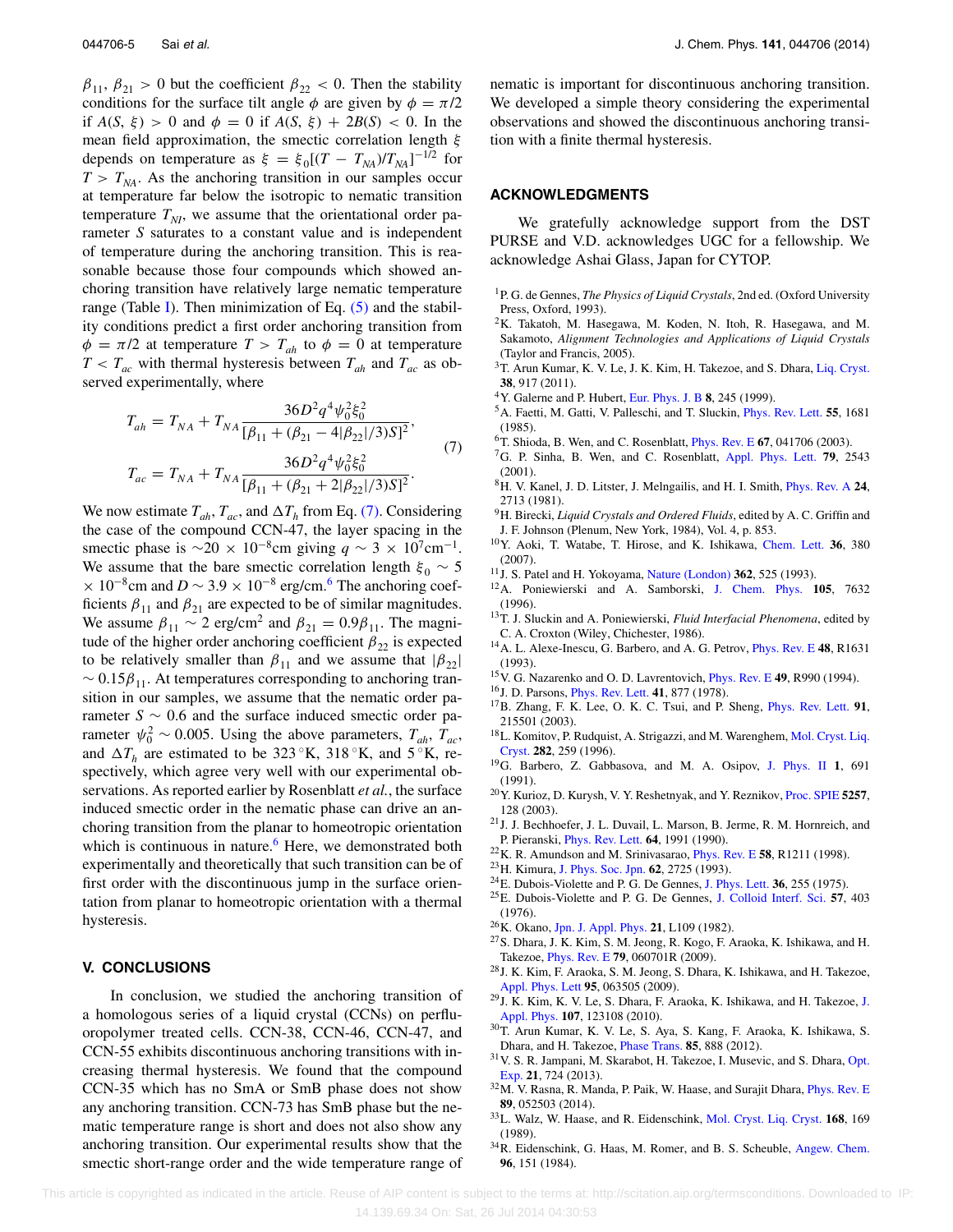$\beta_{11}$ ,  $\beta_{21} > 0$  but the coefficient  $\beta_{22} < 0$ . Then the stability conditions for the surface tilt angle  $\phi$  are given by  $\phi = \pi/2$ if  $A(S, \xi) > 0$  and  $\phi = 0$  if  $A(S, \xi) + 2B(S) < 0$ . In the mean field approximation, the smectic correlation length *ξ* depends on temperature as  $\xi = \xi_0[(T - T_{NA})/T_{NA}]^{-1/2}$  for  $T > T_{NA}$ . As the anchoring transition in our samples occur at temperature far below the isotropic to nematic transition temperature  $T_{NI}$ , we assume that the orientational order parameter *S* saturates to a constant value and is independent of temperature during the anchoring transition. This is reasonable because those four compounds which showed anchoring transition have relatively large nematic temperature range (Table [I\)](#page-2-1). Then minimization of Eq.  $(5)$  and the stability conditions predict a first order anchoring transition from  $\phi = \pi/2$  at temperature  $T > T_{ah}$  to  $\phi = 0$  at temperature  $T < T_{ac}$  with thermal hysteresis between  $T_{ah}$  and  $T_{ac}$  as observed experimentally, where

<span id="page-5-22"></span>
$$
T_{ah} = T_{NA} + T_{NA} \frac{36D^2 q^4 \psi_0^2 \xi_0^2}{[\beta_{11} + (\beta_{21} - 4|\beta_{22}|/3)S]^2},
$$
  
\n
$$
T_{ac} = T_{NA} + T_{NA} \frac{36D^2 q^4 \psi_0^2 \xi_0^2}{[\beta_{11} + (\beta_{21} + 2|\beta_{22}|/3)S]^2}.
$$
\n(7)

We now estimate  $T_{ah}$ ,  $T_{ac}$ , and  $\Delta T_h$  from Eq. [\(7\).](#page-5-22) Considering the case of the compound CCN-47, the layer spacing in the smectic phase is  $\sim$ 20 × 10<sup>-8</sup>cm giving *q* ~ 3 × 10<sup>7</sup>cm<sup>-1</sup>. We assume that the bare smectic correlation length  $\xi_0 \sim 5$  $\times$  10<sup>-8</sup>cm and *D* ~ 3.9 × 10<sup>-8</sup> erg/cm.<sup>[6](#page-5-10)</sup> The anchoring coefficients  $\beta_{11}$  and  $\beta_{21}$  are expected to be of similar magnitudes. We assume  $\beta_{11} \sim 2 \text{ erg/cm}^2$  and  $\beta_{21} = 0.9 \beta_{11}$ . The magnitude of the higher order anchoring coefficient  $\beta_{22}$  is expected to be relatively smaller than  $\beta_{11}$  and we assume that  $|\beta_{22}|$  $\sim 0.15\beta_{11}$ . At temperatures corresponding to anchoring transition in our samples, we assume that the nematic order parameter  $S \sim 0.6$  and the surface induced smectic order parameter  $\psi_0^2 \sim 0.005$ . Using the above parameters,  $T_{ah}$ ,  $T_{ac}$ , and  $\Delta T_h$  are estimated to be 323 °K, 318 °K, and 5 °K, respectively, which agree very well with our experimental observations. As reported earlier by Rosenblatt *et al.*, the surface induced smectic order in the nematic phase can drive an anchoring transition from the planar to homeotropic orientation which is continuous in nature.<sup>6</sup> Here, we demonstrated both experimentally and theoretically that such transition can be of first order with the discontinuous jump in the surface orientation from planar to homeotropic orientation with a thermal hysteresis.

#### **V. CONCLUSIONS**

In conclusion, we studied the anchoring transition of a homologous series of a liquid crystal (CCNs) on perfluoropolymer treated cells. CCN-38, CCN-46, CCN-47, and CCN-55 exhibits discontinuous anchoring transitions with increasing thermal hysteresis. We found that the compound CCN-35 which has no SmA or SmB phase does not show any anchoring transition. CCN-73 has SmB phase but the nematic temperature range is short and does not also show any anchoring transition. Our experimental results show that the smectic short-range order and the wide temperature range of nematic is important for discontinuous anchoring transition. We developed a simple theory considering the experimental observations and showed the discontinuous anchoring transition with a finite thermal hysteresis.

#### **ACKNOWLEDGMENTS**

We gratefully acknowledge support from the DST PURSE and V.D. acknowledges UGC for a fellowship. We acknowledge Ashai Glass, Japan for CYTOP.

- <span id="page-5-0"></span>1P. G. de Gennes, *The Physics of Liquid Crystals*, 2nd ed. (Oxford University Press, Oxford, 1993).
- <span id="page-5-1"></span>2K. Takatoh, M. Hasegawa, M. Koden, N. Itoh, R. Hasegawa, and M. Sakamoto, *Alignment Technologies and Applications of Liquid Crystals* (Taylor and Francis, 2005).
- <sup>3</sup>T. Arun Kumar, K. V. Le, J. K. Kim, H. Takezoe, and S. Dhara, [Liq. Cryst.](http://dx.doi.org/10.1080/02678292.2011.585522) **38**, 917 (2011).
- 4Y. Galerne and P. Hubert, [Eur. Phys. J. B](http://dx.doi.org/10.1007/s100510050687) **8**, 245 (1999).
- 5A. Faetti, M. Gatti, V. Palleschi, and T. Sluckin, [Phys. Rev. Lett.](http://dx.doi.org/10.1103/PhysRevLett.55.1681) **55**, 1681 (1985).
- <span id="page-5-10"></span>6T. Shioda, B. Wen, and C. Rosenblatt, [Phys. Rev. E](http://dx.doi.org/10.1103/PhysRevE.67.041706) **67**, 041706 (2003).
- 7G. P. Sinha, B. Wen, and C. Rosenblatt, [Appl. Phys. Lett.](http://dx.doi.org/10.1063/1.1411983) **79**, 2543 (2001).
- <span id="page-5-2"></span>8H. V. Kanel, J. D. Litster, J. Melngailis, and H. I. Smith, [Phys. Rev. A](http://dx.doi.org/10.1103/PhysRevA.24.2713) **24**, 2713 (1981).
- <span id="page-5-3"></span>9H. Birecki, *Liquid Crystals and Ordered Fluids*, edited by A. C. Griffin and J. F. Johnson (Plenum, New York, 1984), Vol. 4, p. 853.
- 10Y. Aoki, T. Watabe, T. Hirose, and K. Ishikawa, [Chem. Lett.](http://dx.doi.org/10.1246/cl.2007.380) **36**, 380 (2007).
- <span id="page-5-4"></span>11J. S. Patel and H. Yokoyama, [Nature \(London\)](http://dx.doi.org/10.1038/362525a0) **362**, 525 (1993).
- 12A. Poniewierski and A. Samborski, [J. Chem. Phys.](http://dx.doi.org/10.1063/1.472603) **105**, 7632 (1996).
- <span id="page-5-21"></span>13T. J. Sluckin and A. Poniewierski, *Fluid Interfacial Phenomena*, edited by C. A. Croxton (Wiley, Chichester, 1986).
- <span id="page-5-5"></span>14A. L. Alexe-Inescu, G. Barbero, and A. G. Petrov, [Phys. Rev. E](http://dx.doi.org/10.1103/PhysRevE.48.R1631) **48**, R1631 (1993).
- <span id="page-5-19"></span><span id="page-5-17"></span>15V. G. Nazarenko and O. D. Lavrentovich, [Phys. Rev. E](http://dx.doi.org/10.1103/PhysRevE.49.R990) **49**, R990 (1994).
- <span id="page-5-20"></span>16J. D. Parsons, [Phys. Rev. Lett.](http://dx.doi.org/10.1103/PhysRevLett.41.877) **41**, 877 (1978).
- 17B. Zhang, F. K. Lee, O. K. C. Tsui, and P. Sheng, [Phys. Rev. Lett.](http://dx.doi.org/10.1103/PhysRevLett.91.215501) **91**, 215501 (2003).
- 18L. Komitov, P. Rudquist, A. Strigazzi, and M. Warenghem, [Mol. Cryst. Liq.](http://dx.doi.org/10.1080/10587259608037580) [Cryst.](http://dx.doi.org/10.1080/10587259608037580) **282**, 259 (1996).
- <span id="page-5-18"></span>19G. Barbero, Z. Gabbasova, and M. A. Osipov, [J. Phys. II](http://dx.doi.org/10.1051/jp2:1991199) **1**, 691 (1991).
- 20Y. Kurioz, D. Kurysh, V. Y. Reshetnyak, and Y. Reznikov, [Proc. SPIE](http://dx.doi.org/10.1117/12.545839) **5257**, 128 (2003).
- 21J. J. Bechhoefer, J. L. Duvail, L. Marson, B. Jerme, R. M. Hornreich, and P. Pieranski, [Phys. Rev. Lett.](http://dx.doi.org/10.1103/PhysRevLett.64.1911) **64**, 1991 (1990).
- <span id="page-5-7"></span><span id="page-5-6"></span>22K. R. Amundson and M. Srinivasarao, [Phys. Rev. E](http://dx.doi.org/10.1103/PhysRevE.58.R1211) **58**, R1211 (1998).
- 23H. Kimura, [J. Phys. Soc. Jpn.](http://dx.doi.org/10.1143/JPSJ.62.2725) **62**, 2725 (1993).
- <span id="page-5-8"></span>24E. Dubois-Violette and P. G. De Gennes, [J. Phys. Lett.](http://dx.doi.org/10.1051/jphyslet:019750036010025500) **36**, 255 (1975).
- 25E. Dubois-Violette and P. G. De Gennes, [J. Colloid Interf. Sci.](http://dx.doi.org/10.1016/0021-9797(76)90219-8) **57**, 403 (1976).
- <span id="page-5-11"></span><span id="page-5-9"></span>26K. Okano, [Jpn. J. Appl. Phys.](http://dx.doi.org/10.1143/JJAP.21.L109) **21**, L109 (1982).
- 27S. Dhara, J. K. Kim, S. M. Jeong, R. Kogo, F. Araoka, K. Ishikawa, and H. Takezoe, [Phys. Rev. E](http://dx.doi.org/10.1103/PhysRevE.79.060701) **79**, 060701R (2009).
- <span id="page-5-12"></span>28J. K. Kim, F. Araoka, S. M. Jeong, S. Dhara, K. Ishikawa, and H. Takezoe, [Appl. Phys. Lett](http://dx.doi.org/10.1063/1.3202781) **95**, 063505 (2009).
- $^{29}$ [J.](http://dx.doi.org/10.1063/1.3446826) K. Kim, K. V. Le, S. Dhara, F. Araoka, K. Ishikawa, and H. Takezoe, J. [Appl. Phys.](http://dx.doi.org/10.1063/1.3446826) **107**, 123108 (2010).
- <span id="page-5-13"></span>30T. Arun Kumar, K. V. Le, S. Aya, S. Kang, F. Araoka, K. Ishikawa, S. Dhara, and H. Takezoe, [Phase Trans.](http://dx.doi.org/10.1080/01411594.2012.692092) **85**, 888 (2012).
- <span id="page-5-14"></span> $31$  V. S. R. Jampani, M. Skarabot, H. Takezoe, I. Musevic, and S. Dhara, [Opt.](http://dx.doi.org/10.1364/OE.21.000724) [Exp.](http://dx.doi.org/10.1364/OE.21.000724) **21**, 724 (2013).
- <span id="page-5-15"></span>32M. V. Rasna, R. Manda, P. Paik, W. Haase, and Surajit Dhara, [Phys. Rev. E](http://dx.doi.org/10.1103/PhysRevE.89.052503) **89**, 052503 (2014).
- <span id="page-5-16"></span>33L. Walz, W. Haase, and R. Eidenschink, [Mol. Cryst. Liq. Cryst.](http://dx.doi.org/10.1080/00268948908045969) **168**, 169 (1989).
- 34R. Eidenschink, G. Haas, M. Romer, and B. S. Scheuble, [Angew. Chem.](http://dx.doi.org/10.1002/ange.19840960218) **96**, 151 (1984).